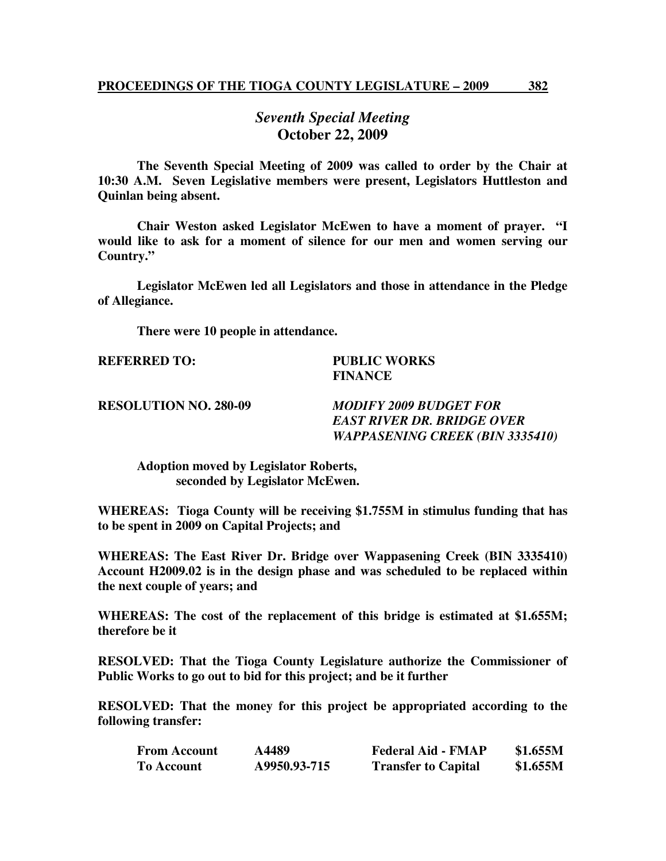## *Seventh Special Meeting*  **October 22, 2009**

 **The Seventh Special Meeting of 2009 was called to order by the Chair at 10:30 A.M. Seven Legislative members were present, Legislators Huttleston and Quinlan being absent.** 

**Chair Weston asked Legislator McEwen to have a moment of prayer. "I would like to ask for a moment of silence for our men and women serving our Country."** 

**Legislator McEwen led all Legislators and those in attendance in the Pledge of Allegiance.** 

 **There were 10 people in attendance.** 

## **REFERRED TO: PUBLIC WORKS FINANCE**

**RESOLUTION NO. 280-09** *MODIFY 2009 BUDGET FOR EAST RIVER DR. BRIDGE OVER WAPPASENING CREEK (BIN 3335410)* 

 **Adoption moved by Legislator Roberts, seconded by Legislator McEwen.** 

**WHEREAS: Tioga County will be receiving \$1.755M in stimulus funding that has to be spent in 2009 on Capital Projects; and** 

**WHEREAS: The East River Dr. Bridge over Wappasening Creek (BIN 3335410) Account H2009.02 is in the design phase and was scheduled to be replaced within the next couple of years; and** 

**WHEREAS: The cost of the replacement of this bridge is estimated at \$1.655M; therefore be it** 

**RESOLVED: That the Tioga County Legislature authorize the Commissioner of Public Works to go out to bid for this project; and be it further** 

**RESOLVED: That the money for this project be appropriated according to the following transfer:** 

| <b>From Account</b> | A4489        | <b>Federal Aid - FMAP</b>  | \$1.655M |
|---------------------|--------------|----------------------------|----------|
| <b>To Account</b>   | A9950.93-715 | <b>Transfer to Capital</b> | \$1.655M |